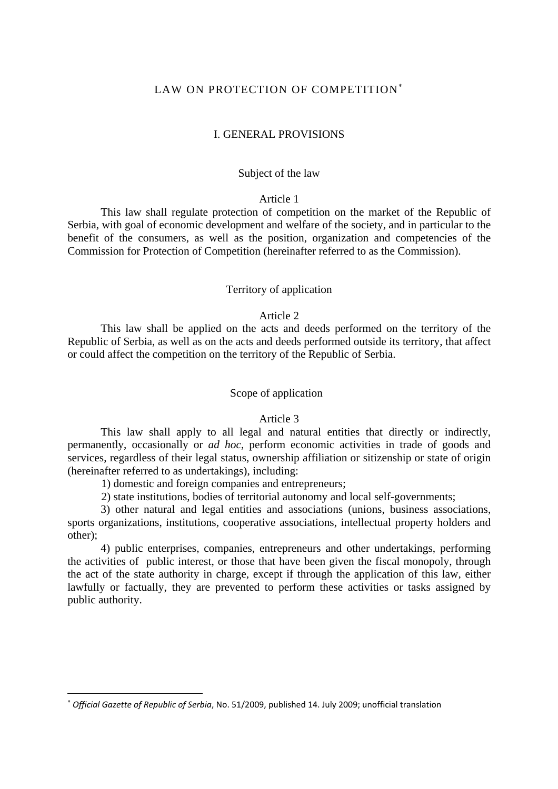# LAW ON PROTECTION OF COMPETITION<sup>\*</sup>

### I. GENERAL PROVISIONS

# Subject of the law

# Article 1

This law shall regulate protection of competition on the market of the Republic of Serbia, with goal of economic development and welfare of the society, and in particular to the benefit of the consumers, as well as the position, organization and competencies of the Commission for Protection of Competition (hereinafter referred to as the Commission).

# Territory of application

# Article 2

This law shall be applied on the acts and deeds performed on the territory of the Republic of Serbia, as well as on the acts and deeds performed outside its territory, that affect or could affect the competition on the territory of the Republic of Serbia.

## Scope of application

### Article 3

This law shall apply to all legal and natural entities that directly or indirectly, permanently, occasionally or *ad hoc*, perform economic activities in trade of goods and services, regardless of their legal status, ownership affiliation or sitizenship or state of origin (hereinafter referred to as undertakings), including:

1) domestic and foreign companies and entrepreneurs;

2) state institutions, bodies of territorial autonomy and local self-governments;

3) other natural and legal entities and associations (unions, business associations, sports organizations, institutions, cooperative associations, intellectual property holders and other);

4) public enterprises, companies, entrepreneurs and other undertakings, performing the activities of public interest, or those that have been given the fiscal monopoly, through the act of the state authority in charge, except if through the application of this law, either lawfully or factually, they are prevented to perform these activities or tasks assigned by public authority.

 $\overline{\phantom{a}}$ 

<span id="page-0-0"></span><sup>∗</sup> *Official Gazette of Republic of Serbia*, No. 51/2009, published 14. July 2009; unofficial translation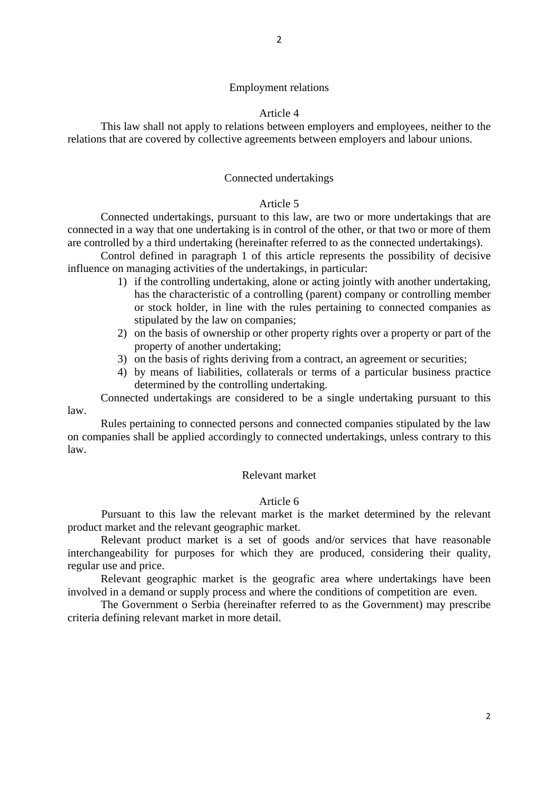# Article 4

This law shall not apply to relations between employers and employees, neither to the relations that are covered by collective agreements between employers and labour unions.

# Connected undertakings

# Article 5

Connected undertakings, pursuant to this law, are two or more undertakings that are connected in a way that one undertaking is in control of the other, or that two or more of them are controlled by a third undertaking (hereinafter referred to as the connected undertakings).

Control defined in paragraph 1 of this article represents the possibility of decisive influence on managing activities of the undertakings, in particular:

- 1) if the controlling undertaking, alone or acting jointly with another undertaking, has the characteristic of a controlling (parent) company or controlling member or stock holder, in line with the rules pertaining to connected companies as stipulated by the law on companies;
- 2) on the basis of ownership or other property rights over a property or part of the property of another undertaking;
- 3) on the basis of rights deriving from a contract, an agreement or securities;
- 4) by means of liabilities, collaterals or terms of a particular business practice determined by the controlling undertaking.

Connected undertakings are considered to be a single undertaking pursuant to this law.

Rules pertaining to connected persons and connected companies stipulated by the law on companies shall be applied accordingly to connected undertakings, unless contrary to this law.

# Relevant market

# Article 6

 Pursuant to this law the relevant market is the market determined by the relevant product market and the relevant geographic market.

Relevant product market is a set of goods and/or services that have reasonable interchangeability for purposes for which they are produced, considering their quality, regular use and price.

Relevant geographic market is the geografic area where undertakings have been involved in a demand or supply process and where the conditions of competition are even.

The Government o Serbia (hereinafter referred to as the Government) may prescribe criteria defining relevant market in more detail.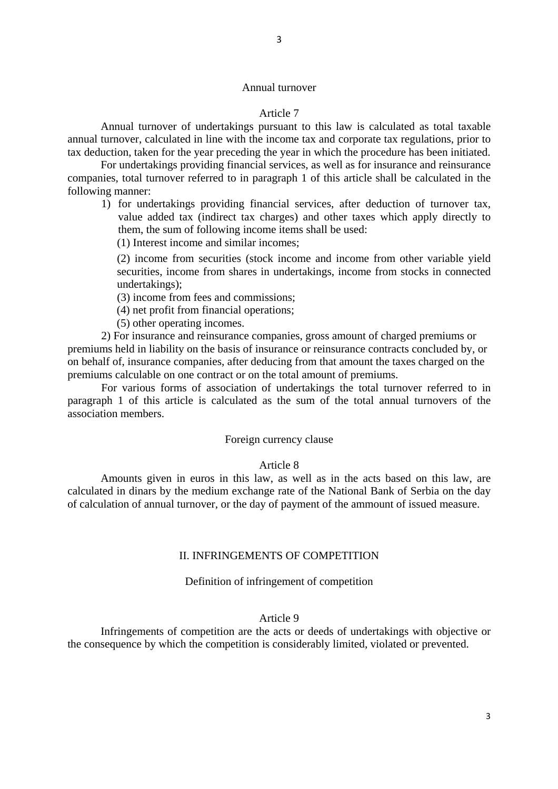# Annual turnover

# Article 7

Annual turnover of undertakings pursuant to this law is calculated as total taxable annual turnover, calculated in line with the income tax and corporate tax regulations, prior to tax deduction, taken for the year preceding the year in which the procedure has been initiated.

For undertakings providing financial services, as well as for insurance and reinsurance companies, total turnover referred to in paragraph 1 of this article shall be calculated in the following manner:

- 1) for undertakings providing financial services, after deduction of turnover tax, value added tax (indirect tax charges) and other taxes which apply directly to them, the sum of following income items shall be used:
	- (1) Interest income and similar incomes;

(2) income from securities (stock income and income from other variable yield securities, income from shares in undertakings, income from stocks in connected undertakings);

(3) income from fees and commissions;

(4) net profit from financial operations;

(5) other operating incomes.

2) For insurance and reinsurance companies, gross amount of charged premiums or premiums held in liability on the basis of insurance or reinsurance contracts concluded by, or on behalf of, insurance companies, after deducing from that amount the taxes charged on the premiums calculable on one contract or on the total amount of premiums.

For various forms of association of undertakings the total turnover referred to in paragraph 1 of this article is calculated as the sum of the total annual turnovers of the association members.

# Foreign currency clause

#### Article 8

Amounts given in euros in this law, as well as in the acts based on this law, are calculated in dinars by the medium exchange rate of the National Bank of Serbia on the day of calculation of annual turnover, or the day of payment of the ammount of issued measure.

### II. INFRINGEMENTS OF COMPETITION

## Definition of infringement of competition

#### Article 9

Infringements of competition are the acts or deeds of undertakings with objective or the consequence by which the competition is considerably limited, violated or prevented.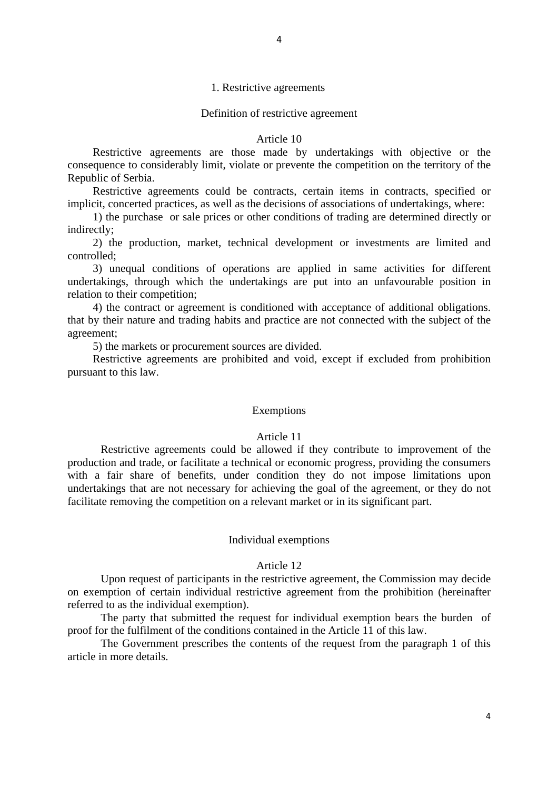# 1. Restrictive agreements

#### Definition of restrictive agreement

#### Article 10

Restrictive agreements are those made by undertakings with objective or the consequence to considerably limit, violate or prevente the competition on the territory of the Republic of Serbia.

Restrictive agreements could be contracts, certain items in contracts, specified or implicit, concerted practices, as well as the decisions of associations of undertakings, where:

1) the purchase or sale prices or other conditions of trading are determined directly or indirectly;

2) the production, market, technical development or investments are limited and controlled;

3) unequal conditions of operations are applied in same activities for different undertakings, through which the undertakings are put into an unfavourable position in relation to their competition;

4) the contract or agreement is conditioned with acceptance of additional obligations. that by their nature and trading habits and practice are not connected with the subject of the agreement;

5) the markets or procurement sources are divided.

Restrictive agreements are prohibited and void, except if excluded from prohibition pursuant to this law.

#### Exemptions

# Article 11

Restrictive agreements could be allowed if they contribute to improvement of the production and trade, or facilitate a technical or economic progress, providing the consumers with a fair share of benefits, under condition they do not impose limitations upon undertakings that are not necessary for achieving the goal of the agreement, or they do not facilitate removing the competition on a relevant market or in its significant part.

### Individual exemptions

#### Article 12

Upon request of participants in the restrictive agreement, the Commission may decide on exemption of certain individual restrictive agreement from the prohibition (hereinafter referred to as the individual exemption).

The party that submitted the request for individual exemption bears the burden of proof for the fulfilment of the conditions contained in the Article 11 of this law.

The Government prescribes the contents of the request from the paragraph 1 of this article in more details.

4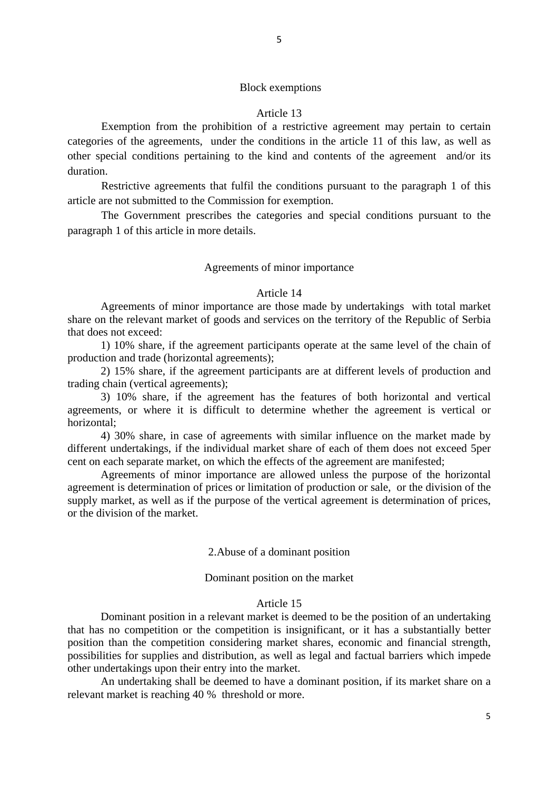# Block exemptions

### Article 13

Exemption from the prohibition of a restrictive agreement may pertain to certain categories of the agreements, under the conditions in the article 11 of this law, as well as other special conditions pertaining to the kind and contents of the agreement and/or its duration.

Restrictive agreements that fulfil the conditions pursuant to the paragraph 1 of this article are not submitted to the Commission for exemption.

The Government prescribes the categories and special conditions pursuant to the paragraph 1 of this article in more details.

### Agreements of minor importance

#### Article 14

Agreements of minor importance are those made by undertakings with total market share on the relevant market of goods and services on the territory of the Republic of Serbia that does not exceed:

1) 10% share, if the agreement participants operate at the same level of the chain of production and trade (horizontal agreements);

2) 15% share, if the agreement participants are at different levels of production and trading chain (vertical agreements);

3) 10% share, if the agreement has the features of both horizontal and vertical agreements, or where it is difficult to determine whether the agreement is vertical or horizontal;

4) 30% share, in case of agreements with similar influence on the market made by different undertakings, if the individual market share of each of them does not exceed 5per cent on each separate market, on which the effects of the agreement are manifested;

Agreements of minor importance are allowed unless the purpose of the horizontal agreement is determination of prices or limitation of production or sale, or the division of the supply market, as well as if the purpose of the vertical agreement is determination of prices, or the division of the market.

### 2.Abuse of a dominant position

# Dominant position on the market

### Article 15

Dominant position in a relevant market is deemed to be the position of an undertaking that has no competition or the competition is insignificant, or it has a substantially better position than the competition considering market shares, economic and financial strength, possibilities for supplies and distribution, as well as legal and factual barriers which impede other undertakings upon their entry into the market.

An undertaking shall be deemed to have a dominant position, if its market share on a relevant market is reaching 40 % threshold or more.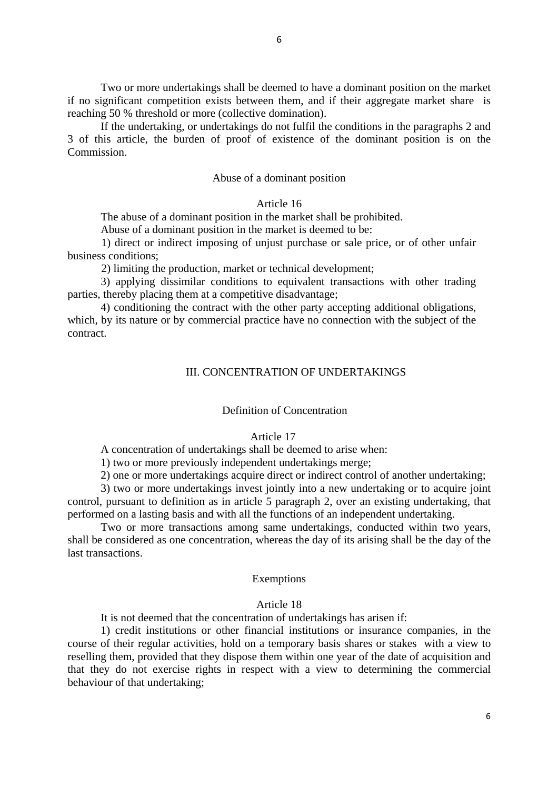Two or more undertakings shall be deemed to have a dominant position on the market if no significant competition exists between them, and if their aggregate market share is reaching 50 % threshold or more (collective domination).

If the undertaking, or undertakings do not fulfil the conditions in the paragraphs 2 and 3 of this article, the burden of proof of existence of the dominant position is on the Commission.

### Abuse of a dominant position

## Article 16

The abuse of a dominant position in the market shall be prohibited.

Abuse of a dominant position in the market is deemed to be:

1) direct or indirect imposing of unjust purchase or sale price, or of other unfair business conditions;

2) limiting the production, market or technical development;

3) applying dissimilar conditions to equivalent transactions with other trading parties, thereby placing them at a competitive disadvantage;

4) conditioning the contract with the other party accepting additional obligations, which, by its nature or by commercial practice have no connection with the subject of the contract.

# III. CONCENTRATION OF UNDERTAKINGS

#### Definition of Concentration

### Article 17

A concentration of undertakings shall be deemed to arise when:

1) two or more previously independent undertakings merge;

2) one or more undertakings acquire direct or indirect control of another undertaking;

3) two or more undertakings invest jointly into a new undertaking or to acquire joint control, pursuant to definition as in article 5 paragraph 2, over an existing undertaking, that performed on a lasting basis and with all the functions of an independent undertaking.

Two or more transactions among same undertakings, conducted within two years, shall be considered as one concentration, whereas the day of its arising shall be the day of the last transactions.

### Exemptions

#### Article 18

It is not deemed that the concentration of undertakings has arisen if:

1) credit institutions or other financial institutions or insurance companies, in the course of their regular activities, hold on a temporary basis shares or stakes with a view to reselling them, provided that they dispose them within one year of the date of acquisition and that they do not exercise rights in respect with a view to determining the commercial behaviour of that undertaking;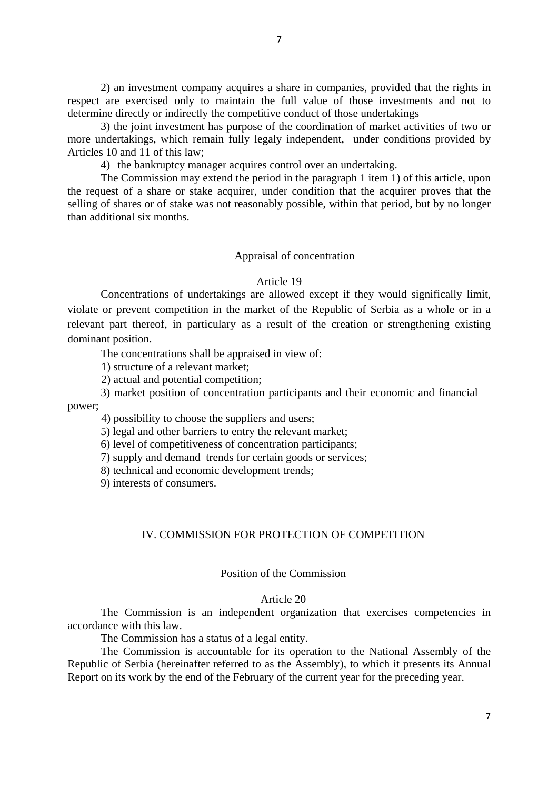2) an investment company acquires a share in companies, provided that the rights in respect are exercised only to maintain the full value of those investments and not to determine directly or indirectly the competitive conduct of those undertakings

3) the joint investment has purpose of the coordination of market activities of two or more undertakings, which remain fully legaly independent, under conditions provided by Articles 10 and 11 of this law;

4) the bankruptcy manager acquires control over an undertaking.

The Commission may extend the period in the paragraph 1 item 1) of this article, upon the request of a share or stake acquirer, under condition that the acquirer proves that the selling of shares or of stake was not reasonably possible, within that period, but by no longer than additional six months.

### Appraisal of concentration

## Article 19

Concentrations of undertakings are allowed except if they would significally limit, violate or prevent competition in the market of the Republic of Serbia as a whole or in a relevant part thereof, in particulary as a result of the creation or strengthening existing dominant position.

The concentrations shall be appraised in view of:

1) structure of a relevant market;

2) actual and potential competition;

3) market position of concentration participants and their economic and financial power;

4) possibility to choose the suppliers and users;

5) legal and other barriers to entry the relevant market;

6) level of competitiveness of concentration participants;

7) supply and demand trends for certain goods or services;

8) technical and economic development trends;

9) interests of consumers.

# IV. COMMISSION FOR PROTECTION OF COMPETITION

# Position of the Commission

### Article 20

The Commission is an independent organization that exercises competencies in accordance with this law.

The Commission has a status of a legal entity.

The Commission is accountable for its operation to the National Assembly of the Republic of Serbia (hereinafter referred to as the Assembly), to which it presents its Annual Report on its work by the end of the February of the current year for the preceding year.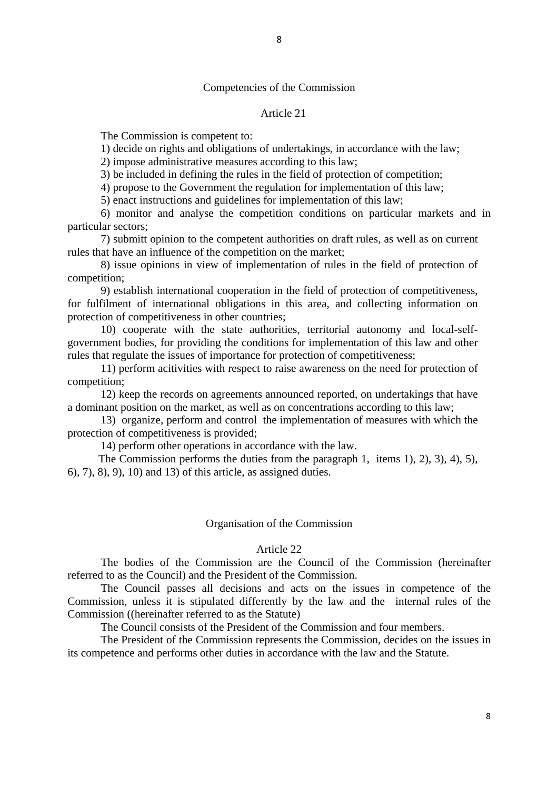# Competencies of the Commission

### Article 21

The Commission is competent to:

1) decide on rights and obligations of undertakings, in accordance with the law;

2) impose administrative measures according to this law;

3) be included in defining the rules in the field of protection of competition;

4) propose to the Government the regulation for implementation of this law;

5) enact instructions and guidelines for implementation of this law;

6) monitor and analyse the competition conditions on particular markets and in particular sectors;

7) submitt opinion to the competent authorities on draft rules, as well as on current rules that have an influence of the competition on the market;

8) issue opinions in view of implementation of rules in the field of protection of competition;

9) establish international cooperation in the field of protection of competitiveness, for fulfilment of international obligations in this area, and collecting information on protection of competitiveness in other countries;

10) cooperate with the state authorities, territorial autonomy and local-selfgovernment bodies, for providing the conditions for implementation of this law and other rules that regulate the issues of importance for protection of competitiveness;

11) perform acitivities with respect to raise awareness on the need for protection of competition;

12) keep the records on agreements announced reported, on undertakings that have a dominant position on the market, as well as on concentrations according to this law;

13) organize, perform and control the implementation of measures with which the protection of competitiveness is provided;

14) perform other operations in accordance with the law.

 The Commission performs the duties from the paragraph 1, items 1), 2), 3), 4), 5), 6), 7), 8), 9), 10) and 13) of this article, as assigned duties.

#### Organisation of the Commission

#### Article 22

The bodies of the Commission are the Council of the Commission (hereinafter referred to as the Council) and the President of the Commission.

The Council passes all decisions and acts on the issues in competence of the Commission, unless it is stipulated differently by the law and the internal rules of the Commission ((hereinafter referred to as the Statute)

The Council consists of the President of the Commission and four members.

The President of the Commission represents the Commission, decides on the issues in its competence and performs other duties in accordance with the law and the Statute.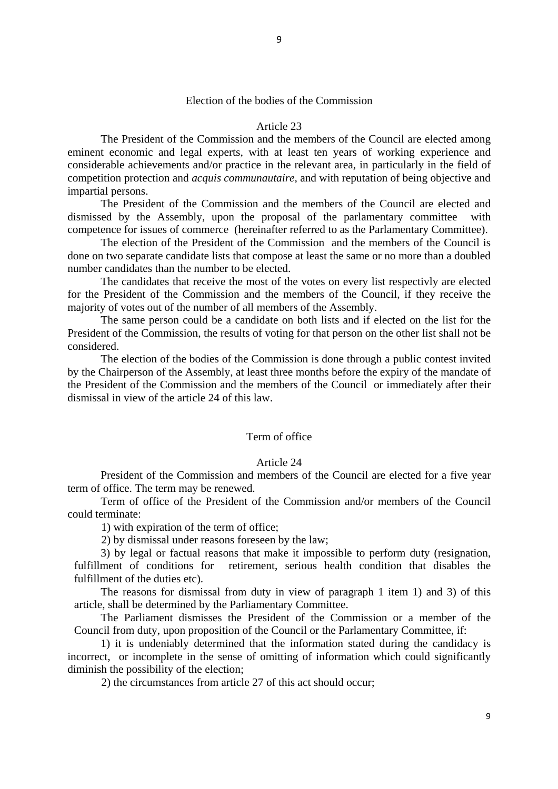# Election of the bodies of the Commission

#### Article 23

The President of the Commission and the members of the Council are elected among eminent economic and legal experts, with at least ten years of working experience and considerable achievements and/or practice in the relevant area, in particularly in the field of competition protection and *acquis communautaire*, and with reputation of being objective and impartial persons.

The President of the Commission and the members of the Council are elected and dismissed by the Assembly, upon the proposal of the parlamentary committee with competence for issues of commerce (hereinafter referred to as the Parlamentary Committee).

The election of the President of the Commission and the members of the Council is done on two separate candidate lists that compose at least the same or no more than a doubled number candidates than the number to be elected.

The candidates that receive the most of the votes on every list respectivly are elected for the President of the Commission and the members of the Council, if they receive the majority of votes out of the number of all members of the Assembly.

The same person could be a candidate on both lists and if elected on the list for the President of the Commission, the results of voting for that person on the other list shall not be considered.

The election of the bodies of the Commission is done through a public contest invited by the Chairperson of the Assembly, at least three months before the expiry of the mandate of the President of the Commission and the members of the Council or immediately after their dismissal in view of the article 24 of this law.

# Term of office

### Article 24

President of the Commission and members of the Council are elected for a five year term of office. The term may be renewed.

Term of office of the President of the Commission and/or members of the Council could terminate:

1) with expiration of the term of office;

2) by dismissal under reasons foreseen by the law;

3) by legal or factual reasons that make it impossible to perform duty (resignation, fulfillment of conditions for retirement, serious health condition that disables the fulfillment of the duties etc).

The reasons for dismissal from duty in view of paragraph 1 item 1) and 3) of this article, shall be determined by the Parliamentary Committee.

The Parliament dismisses the President of the Commission or a member of the Council from duty, upon proposition of the Council or the Parlamentary Committee, if:

1) it is undeniably determined that the information stated during the candidacy is incorrect, or incomplete in the sense of omitting of information which could significantly diminish the possibility of the election;

2) the circumstances from article 27 of this act should occur;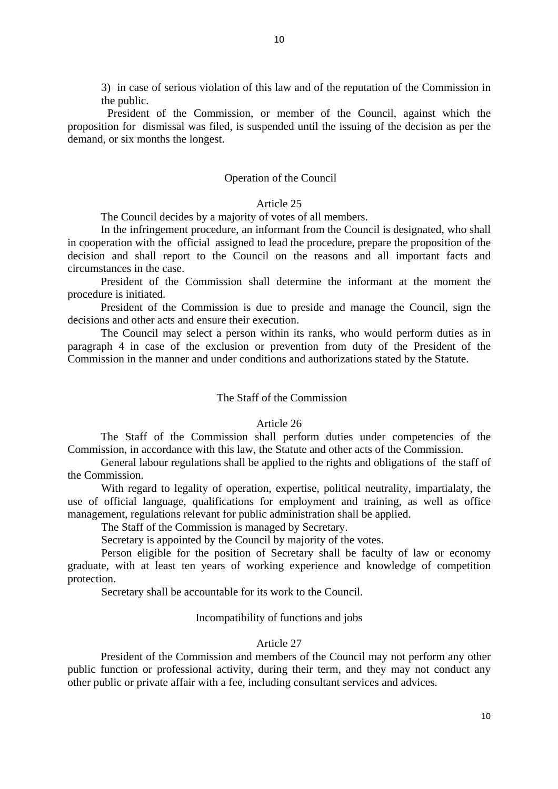3) in case of serious violation of this law and of the reputation of the Commission in the public.

 President of the Commission, or member of the Council, against which the proposition for dismissal was filed, is suspended until the issuing of the decision as per the demand, or six months the longest.

## Operation of the Council

## Article 25

The Council decides by a majority of votes of all members.

In the infringement procedure, an informant from the Council is designated, who shall in cooperation with the official assigned to lead the procedure, prepare the proposition of the decision and shall report to the Council on the reasons and all important facts and circumstances in the case.

President of the Commission shall determine the informant at the moment the procedure is initiated.

President of the Commission is due to preside and manage the Council, sign the decisions and other acts and ensure their execution.

The Council may select a person within its ranks, who would perform duties as in paragraph 4 in case of the exclusion or prevention from duty of the President of the Commission in the manner and under conditions and authorizations stated by the Statute.

# The Staff of the Commission

#### Article 26

The Staff of the Commission shall perform duties under competencies of the Commission, in accordance with this law, the Statute and other acts of the Commission.

General labour regulations shall be applied to the rights and obligations of the staff of the Commission.

 With regard to legality of operation, expertise, political neutrality, impartialaty, the use of official language, qualifications for employment and training, as well as office management, regulations relevant for public administration shall be applied.

The Staff of the Commission is managed by Secretary.

Secretary is appointed by the Council by majority of the votes.

 Person eligible for the position of Secretary shall be faculty of law or economy graduate, with at least ten years of working experience and knowledge of competition protection.

Secretary shall be accountable for its work to the Council.

## Incompatibility of functions and jobs

# Article 27

President of the Commission and members of the Council may not perform any other public function or professional activity, during their term, and they may not conduct any other public or private affair with a fee, including consultant services and advices.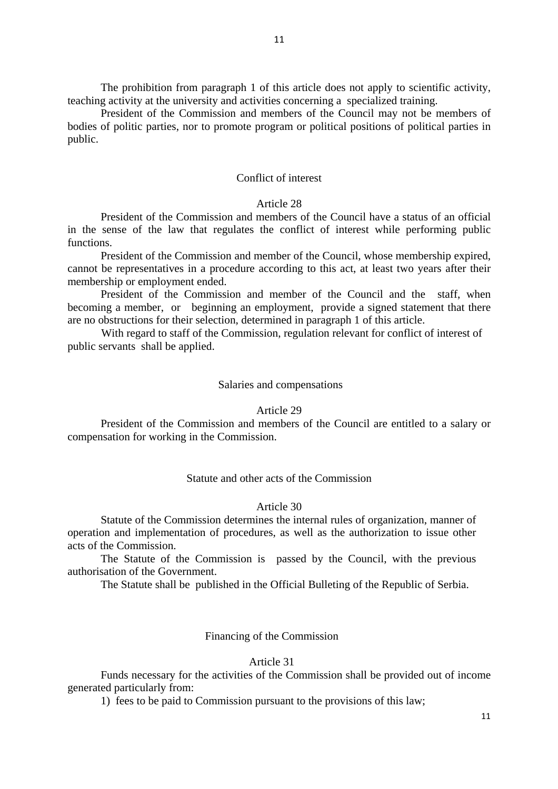The prohibition from paragraph 1 of this article does not apply to scientific activity, teaching activity at the university and activities concerning a specialized training.

President of the Commission and members of the Council may not be members of bodies of politic parties, nor to promote program or political positions of political parties in public.

## Conflict of interest

# Article 28

President of the Commission and members of the Council have a status of an official in the sense of the law that regulates the conflict of interest while performing public functions.

President of the Commission and member of the Council, whose membership expired, cannot be representatives in a procedure according to this act, at least two years after their membership or employment ended.

President of the Commission and member of the Council and the staff, when becoming a member, or beginning an employment, provide a signed statement that there are no obstructions for their selection, determined in paragraph 1 of this article.

 With regard to staff of the Commission, regulation relevant for conflict of interest of public servants shall be applied.

#### Salaries and compensations

#### Article 29

President of the Commission and members of the Council are entitled to a salary or compensation for working in the Commission.

# Statute and other acts of the Commission

# Article 30

Statute of the Commission determines the internal rules of organization, manner of operation and implementation of procedures, as well as the authorization to issue other acts of the Commission.

The Statute of the Commission is passed by the Council, with the previous authorisation of the Government.

The Statute shall be published in the Official Bulleting of the Republic of Serbia.

# Financing of the Commission

# Article 31

Funds necessary for the activities of the Commission shall be provided out of income generated particularly from:

1) fees to be paid to Commission pursuant to the provisions of this law;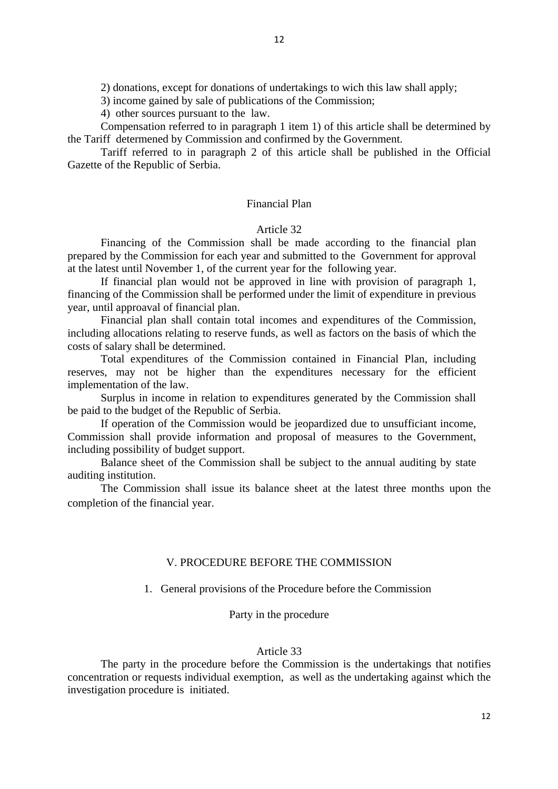2) donations, except for donations of undertakings to wich this law shall apply;

3) income gained by sale of publications of the Commission;

4) other sources pursuant to the law.

Compensation referred to in paragraph 1 item 1) of this article shall be determined by the Tariff determened by Commission and confirmed by the Government.

Tariff referred to in paragraph 2 of this article shall be published in the Official Gazette of the Republic of Serbia.

# Financial Plan

# Article 32

Financing of the Commission shall be made according to the financial plan prepared by the Commission for each year and submitted to the Government for approval at the latest until November 1, of the current year for the following year.

If financial plan would not be approved in line with provision of paragraph 1, financing of the Commission shall be performed under the limit of expenditure in previous year, until approaval of financial plan.

Financial plan shall contain total incomes and expenditures of the Commission, including allocations relating to reserve funds, as well as factors on the basis of which the costs of salary shall be determined.

Total expenditures of the Commission contained in Financial Plan, including reserves, may not be higher than the expenditures necessary for the efficient implementation of the law.

Surplus in income in relation to expenditures generated by the Commission shall be paid to the budget of the Republic of Serbia.

If operation of the Commission would be jeopardized due to unsufficiant income, Commission shall provide information and proposal of measures to the Government, including possibility of budget support.

Balance sheet of the Commission shall be subject to the annual auditing by state auditing institution.

The Commission shall issue its balance sheet at the latest three months upon the completion of the financial year.

# V. PROCEDURE BEFORE THE COMMISSION

1. General provisions of the Procedure before the Commission

# Party in the procedure

# Article 33

 The party in the procedure before the Commission is the undertakings that notifies concentration or requests individual exemption, as well as the undertaking against which the investigation procedure is initiated.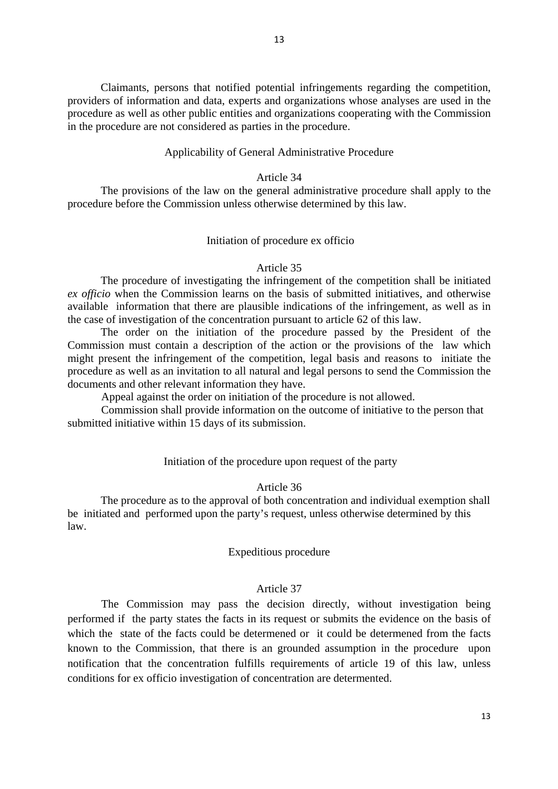13

 Claimants, persons that notified potential infringements regarding the competition, providers of information and data, experts and organizations whose analyses are used in the procedure as well as other public entities and organizations cooperating with the Commission in the procedure are not considered as parties in the procedure.

# Applicability of General Administrative Procedure

# Article 34

The provisions of the law on the general administrative procedure shall apply to the procedure before the Commission unless otherwise determined by this law.

# Initiation of procedure ex officio

# Article 35

The procedure of investigating the infringement of the competition shall be initiated *ex officio* when the Commission learns on the basis of submitted initiatives, and otherwise available information that there are plausible indications of the infringement, as well as in the case of investigation of the concentration pursuant to article 62 of this law.

The order on the initiation of the procedure passed by the President of the Commission must contain a description of the action or the provisions of the law which might present the infringement of the competition, legal basis and reasons to initiate the procedure as well as an invitation to all natural and legal persons to send the Commission the documents and other relevant information they have.

Appeal against the order on initiation of the procedure is not allowed.

 Commission shall provide information on the outcome of initiative to the person that submitted initiative within 15 days of its submission.

# Initiation of the procedure upon request of the party

# Article 36

The procedure as to the approval of both concentration and individual exemption shall be initiated and performed upon the party's request, unless otherwise determined by this law.

# Expeditious procedure

# Article 37

 The Commission may pass the decision directly, without investigation being performed if the party states the facts in its request or submits the evidence on the basis of which the state of the facts could be determened or it could be determened from the facts known to the Commission, that there is an grounded assumption in the procedure upon notification that the concentration fulfills requirements of article 19 of this law, unless conditions for ex officio investigation of concentration are determented.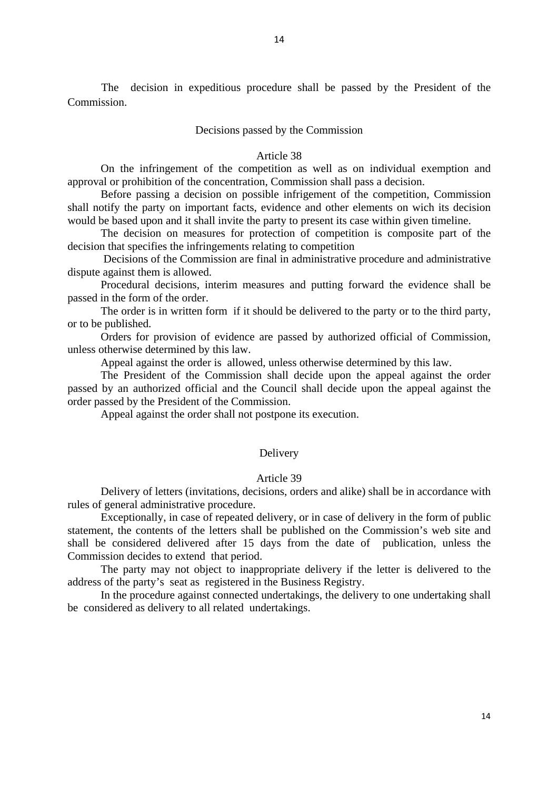The decision in expeditious procedure shall be passed by the President of the Commission.

### Decisions passed by the Commission

#### Article 38

On the infringement of the competition as well as on individual exemption and approval or prohibition of the concentration, Commission shall pass a decision.

Before passing a decision on possible infrigement of the competition, Commission shall notify the party on important facts, evidence and other elements on wich its decision would be based upon and it shall invite the party to present its case within given timeline.

The decision on measures for protection of competition is composite part of the decision that specifies the infringements relating to competition

 Decisions of the Commission are final in administrative procedure and administrative dispute against them is allowed.

Procedural decisions, interim measures and putting forward the evidence shall be passed in the form of the order.

The order is in written form if it should be delivered to the party or to the third party, or to be published.

Orders for provision of evidence are passed by authorized official of Commission, unless otherwise determined by this law.

Appeal against the order is allowed, unless otherwise determined by this law.

The President of the Commission shall decide upon the appeal against the order passed by an authorized official and the Council shall decide upon the appeal against the order passed by the President of the Commission.

Appeal against the order shall not postpone its execution.

## Delivery

# Article 39

Delivery of letters (invitations, decisions, orders and alike) shall be in accordance with rules of general administrative procedure.

Exceptionally, in case of repeated delivery, or in case of delivery in the form of public statement, the contents of the letters shall be published on the Commission's web site and shall be considered delivered after 15 days from the date of publication, unless the Commission decides to extend that period.

The party may not object to inappropriate delivery if the letter is delivered to the address of the party's seat as registered in the Business Registry.

In the procedure against connected undertakings, the delivery to one undertaking shall be considered as delivery to all related undertakings.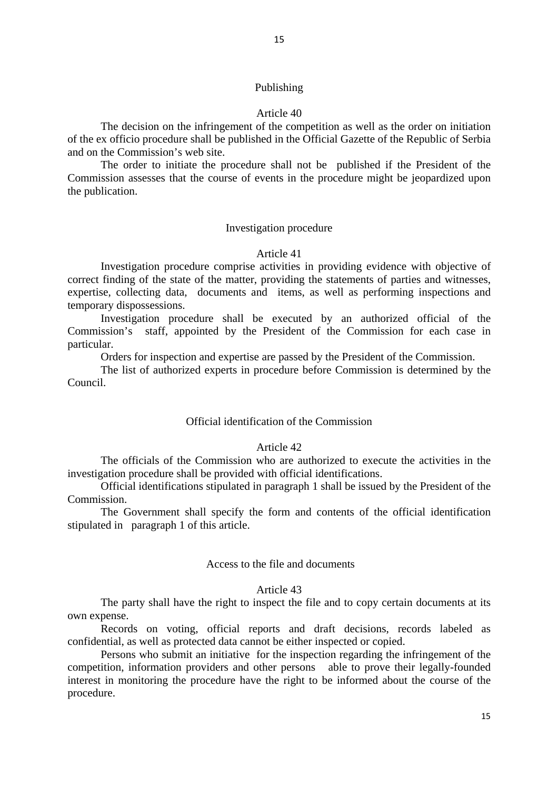## Article 40

The decision on the infringement of the competition as well as the order on initiation of the ex officio procedure shall be published in the Official Gazette of the Republic of Serbia and on the Commission's web site.

The order to initiate the procedure shall not be published if the President of the Commission assesses that the course of events in the procedure might be jeopardized upon the publication.

### Investigation procedure

# Article 41

Investigation procedure comprise activities in providing evidence with objective of correct finding of the state of the matter, providing the statements of parties and witnesses, expertise, collecting data, documents and items, as well as performing inspections and temporary dispossessions.

Investigation procedure shall be executed by an authorized official of the Commission's staff, appointed by the President of the Commission for each case in particular.

Orders for inspection and expertise are passed by the President of the Commission.

The list of authorized experts in procedure before Commission is determined by the Council.

#### Official identification of the Commission

# Article 42

The officials of the Commission who are authorized to execute the activities in the investigation procedure shall be provided with official identifications.

Official identifications stipulated in paragraph 1 shall be issued by the President of the Commission.

The Government shall specify the form and contents of the official identification stipulated in paragraph 1 of this article.

### Access to the file and documents

# Article 43

The party shall have the right to inspect the file and to copy certain documents at its own expense.

Records on voting, official reports and draft decisions, records labeled as confidential, as well as protected data cannot be either inspected or copied.

Persons who submit an initiative for the inspection regarding the infringement of the competition, information providers and other persons able to prove their legally-founded interest in monitoring the procedure have the right to be informed about the course of the procedure.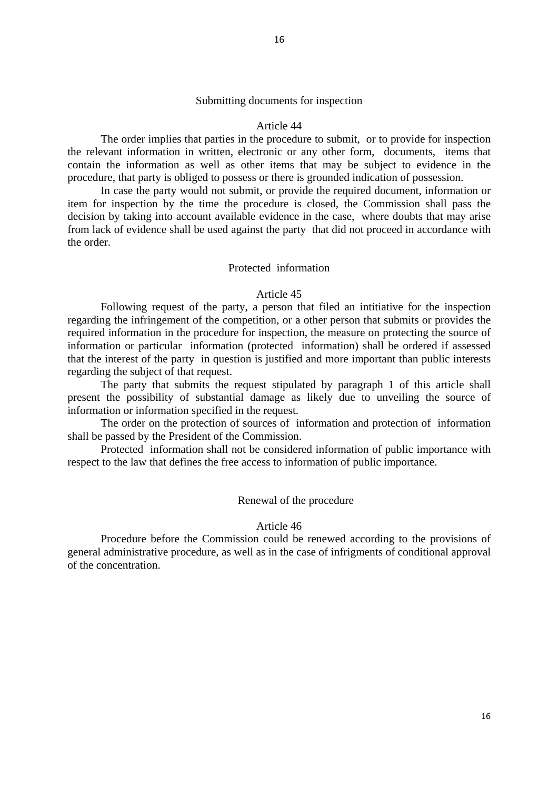## Submitting documents for inspection

#### Article 44

The order implies that parties in the procedure to submit, or to provide for inspection the relevant information in written, electronic or any other form, documents, items that contain the information as well as other items that may be subject to evidence in the procedure, that party is obliged to possess or there is grounded indication of possession.

In case the party would not submit, or provide the required document, information or item for inspection by the time the procedure is closed, the Commission shall pass the decision by taking into account available evidence in the case, where doubts that may arise from lack of evidence shall be used against the party that did not proceed in accordance with the order.

### Protected information

#### Article 45

Following request of the party, a person that filed an intitiative for the inspection regarding the infringement of the competition, or a other person that submits or provides the required information in the procedure for inspection, the measure on protecting the source of information or particular information (protected information) shall be ordered if assessed that the interest of the party in question is justified and more important than public interests regarding the subject of that request.

The party that submits the request stipulated by paragraph 1 of this article shall present the possibility of substantial damage as likely due to unveiling the source of information or information specified in the request.

The order on the protection of sources of information and protection of information shall be passed by the President of the Commission.

Protected information shall not be considered information of public importance with respect to the law that defines the free access to information of public importance.

### Renewal of the procedure

#### Article 46

Procedure before the Commission could be renewed according to the provisions of general administrative procedure, as well as in the case of infrigments of conditional approval of the concentration.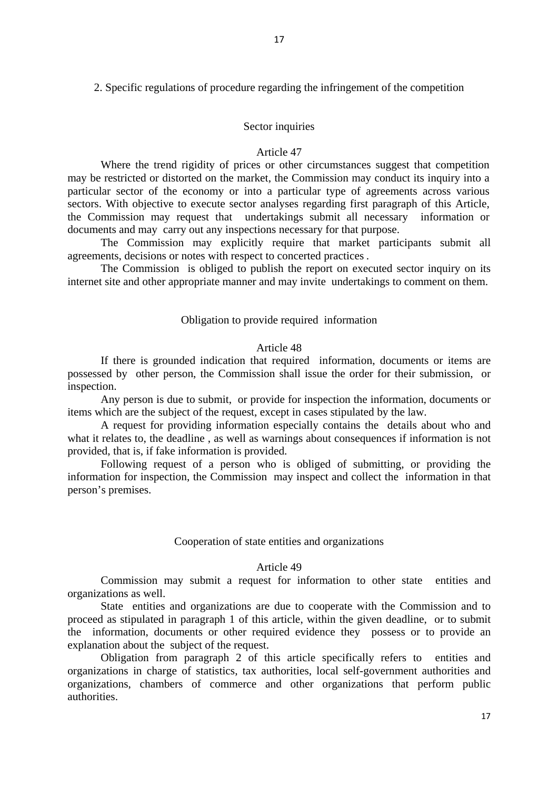# 2. Specific regulations of procedure regarding the infringement of the competition

### Sector inquiries

## Article 47

Where the trend rigidity of prices or other circumstances suggest that competition may be restricted or distorted on the market, the Commission may conduct its inquiry into a particular sector of the economy or into a particular type of agreements across various sectors. With objective to execute sector analyses regarding first paragraph of this Article, the Commission may request that undertakings submit all necessary information or documents and may carry out any inspections necessary for that purpose.

The Commission may explicitly require that market participants submit all agreements, decisions or notes with respect to concerted practices .

The Commission is obliged to publish the report on executed sector inquiry on its internet site and other appropriate manner and may invite undertakings to comment on them.

#### Obligation to provide required information

## Article 48

If there is grounded indication that required information, documents or items are possessed by other person, the Commission shall issue the order for their submission, or inspection.

Any person is due to submit, or provide for inspection the information, documents or items which are the subject of the request, except in cases stipulated by the law.

A request for providing information especially contains the details about who and what it relates to, the deadline , as well as warnings about consequences if information is not provided, that is, if fake information is provided.

Following request of a person who is obliged of submitting, or providing the information for inspection, the Commission may inspect and collect the information in that person's premises.

## Cooperation of state entities and organizations

#### Article 49

Commission may submit a request for information to other state entities and organizations as well.

State entities and organizations are due to cooperate with the Commission and to proceed as stipulated in paragraph 1 of this article, within the given deadline, or to submit the information, documents or other required evidence they possess or to provide an explanation about the subject of the request.

Obligation from paragraph 2 of this article specifically refers to entities and organizations in charge of statistics, tax authorities, local self-government authorities and organizations, chambers of commerce and other organizations that perform public authorities.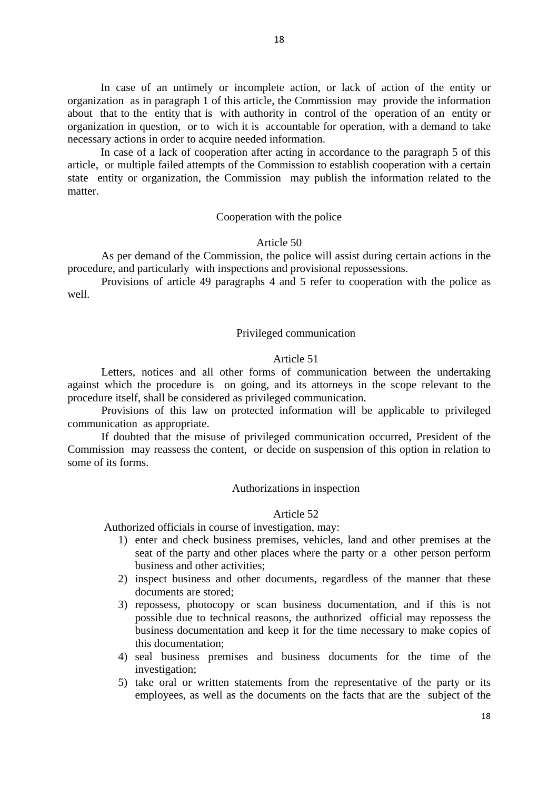In case of an untimely or incomplete action, or lack of action of the entity or organization as in paragraph 1 of this article, the Commission may provide the information about that to the entity that is with authority in control of the operation of an entity or organization in question, or to wich it is accountable for operation, with a demand to take necessary actions in order to acquire needed information.

In case of a lack of cooperation after acting in accordance to the paragraph 5 of this article, or multiple failed attempts of the Commission to establish cooperation with a certain state entity or organization, the Commission may publish the information related to the matter.

# Cooperation with the police

# Article 50

As per demand of the Commission, the police will assist during certain actions in the procedure, and particularly with inspections and provisional repossessions.

Provisions of article 49 paragraphs 4 and 5 refer to cooperation with the police as well.

# Privileged communication

# Article 51

Letters, notices and all other forms of communication between the undertaking against which the procedure is on going, and its attorneys in the scope relevant to the procedure itself, shall be considered as privileged communication.

Provisions of this law on protected information will be applicable to privileged communication as appropriate.

If doubted that the misuse of privileged communication occurred, President of the Commission may reassess the content, or decide on suspension of this option in relation to some of its forms.

### Authorizations in inspection

#### Article 52

Authorized officials in course of investigation, may:

- 1) enter and check business premises, vehicles, land and other premises at the seat of the party and other places where the party or a other person perform business and other activities;
- 2) inspect business and other documents, regardless of the manner that these documents are stored;
- 3) repossess, photocopy or scan business documentation, and if this is not possible due to technical reasons, the authorized official may repossess the business documentation and keep it for the time necessary to make copies of this documentation;
- 4) seal business premises and business documents for the time of the investigation;
- 5) take oral or written statements from the representative of the party or its employees, as well as the documents on the facts that are the subject of the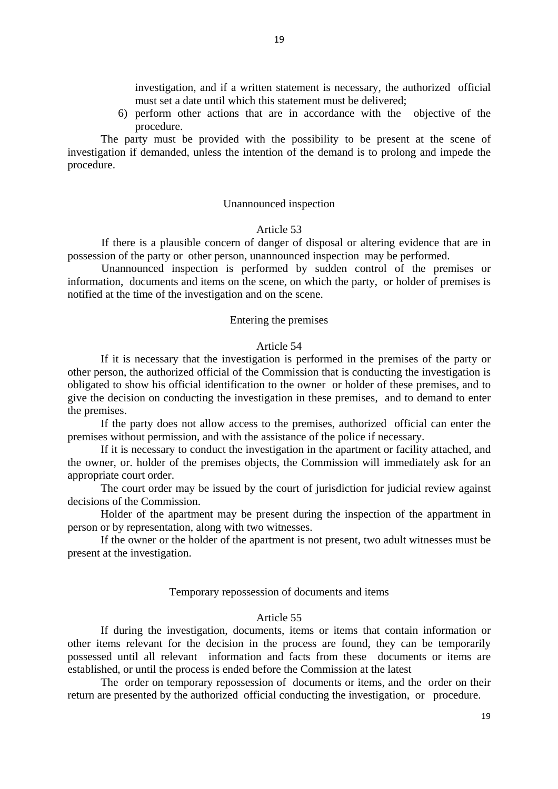investigation, and if a written statement is necessary, the authorized official must set a date until which this statement must be delivered;

6) perform other actions that are in accordance with the objective of the procedure.

The party must be provided with the possibility to be present at the scene of investigation if demanded, unless the intention of the demand is to prolong and impede the procedure.

# Unannounced inspection

# Article 53

If there is a plausible concern of danger of disposal or altering evidence that are in possession of the party or other person, unannounced inspection may be performed.

Unannounced inspection is performed by sudden control of the premises or information, documents and items on the scene, on which the party, or holder of premises is notified at the time of the investigation and on the scene.

## Entering the premises

# Article 54

If it is necessary that the investigation is performed in the premises of the party or other person, the authorized official of the Commission that is conducting the investigation is obligated to show his official identification to the owner or holder of these premises, and to give the decision on conducting the investigation in these premises, and to demand to enter the premises.

If the party does not allow access to the premises, authorized official can enter the premises without permission, and with the assistance of the police if necessary.

If it is necessary to conduct the investigation in the apartment or facility attached, and the owner, or. holder of the premises objects, the Commission will immediately ask for an appropriate court order.

The court order may be issued by the court of jurisdiction for judicial review against decisions of the Commission.

Holder of the apartment may be present during the inspection of the appartment in person or by representation, along with two witnesses.

If the owner or the holder of the apartment is not present, two adult witnesses must be present at the investigation.

### Temporary repossession of documents and items

## Article 55

If during the investigation, documents, items or items that contain information or other items relevant for the decision in the process are found, they can be temporarily possessed until all relevant information and facts from these documents or items are established, or until the process is ended before the Commission at the latest

The order on temporary repossession of documents or items, and the order on their return are presented by the authorized official conducting the investigation, or procedure.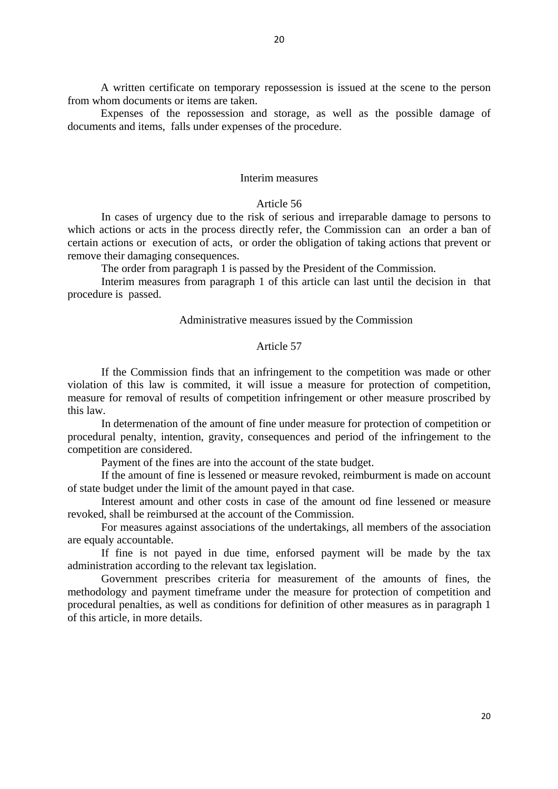A written certificate on temporary repossession is issued at the scene to the person from whom documents or items are taken.

Expenses of the repossession and storage, as well as the possible damage of documents and items, falls under expenses of the procedure.

#### Interim measures

#### Article 56

In cases of urgency due to the risk of serious and irreparable damage to persons to which actions or acts in the process directly refer, the Commission can an order a ban of certain actions or execution of acts, or order the obligation of taking actions that prevent or remove their damaging consequences.

The order from paragraph 1 is passed by the President of the Commission.

Interim measures from paragraph 1 of this article can last until the decision in that procedure is passed.

#### Administrative measures issued by the Commission

# Article 57

If the Commission finds that an infringement to the competition was made or other violation of this law is commited, it will issue a measure for protection of competition, measure for removal of results of competition infringement or other measure proscribed by this law.

 In determenation of the amount of fine under measure for protection of competition or procedural penalty, intention, gravity, consequences and period of the infringement to the competition are considered.

Payment of the fines are into the account of the state budget.

If the amount of fine is lessened or measure revoked, reimburment is made on account of state budget under the limit of the amount payed in that case.

 Interest amount and other costs in case of the amount od fine lessened or measure revoked, shall be reimbursed at the account of the Commission.

 For measures against associations of the undertakings, all members of the association are equaly accountable.

 If fine is not payed in due time, enforsed payment will be made by the tax administration according to the relevant tax legislation.

Government prescribes criteria for measurement of the amounts of fines, the methodology and payment timeframe under the measure for protection of competition and procedural penalties, as well as conditions for definition of other measures as in paragraph 1 of this article, in more details.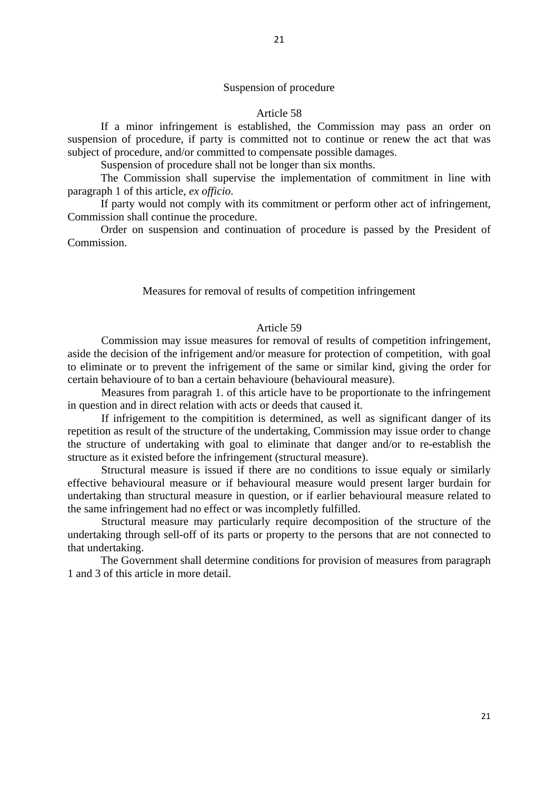# Suspension of procedure

## Article 58

If a minor infringement is established, the Commission may pass an order on suspension of procedure, if party is committed not to continue or renew the act that was subject of procedure, and/or committed to compensate possible damages.

Suspension of procedure shall not be longer than six months.

The Commission shall supervise the implementation of commitment in line with paragraph 1 of this article, *ex officio*.

If party would not comply with its commitment or perform other act of infringement, Commission shall continue the procedure.

Order on suspension and continuation of procedure is passed by the President of Commission.

#### Measures for removal of results of competition infringement

# Article 59

Commission may issue measures for removal of results of competition infringement, aside the decision of the infrigement and/or measure for protection of competition, with goal to eliminate or to prevent the infrigement of the same or similar kind, giving the order for certain behavioure of to ban a certain behavioure (behavioural measure).

 Measures from paragrah 1. of this article have to be proportionate to the infringement in question and in direct relation with acts or deeds that caused it.

 If infrigement to the compitition is determined, as well as significant danger of its repetition as result of the structure of the undertaking, Commission may issue order to change the structure of undertaking with goal to eliminate that danger and/or to re-establish the structure as it existed before the infringement (structural measure).

 Structural measure is issued if there are no conditions to issue equaly or similarly effective behavioural measure or if behavioural measure would present larger burdain for undertaking than structural measure in question, or if earlier behavioural measure related to the same infringement had no effect or was incompletly fulfilled.

 Structural measure may particularly require decomposition of the structure of the undertaking through sell-off of its parts or property to the persons that are not connected to that undertaking.

The Government shall determine conditions for provision of measures from paragraph 1 and 3 of this article in more detail.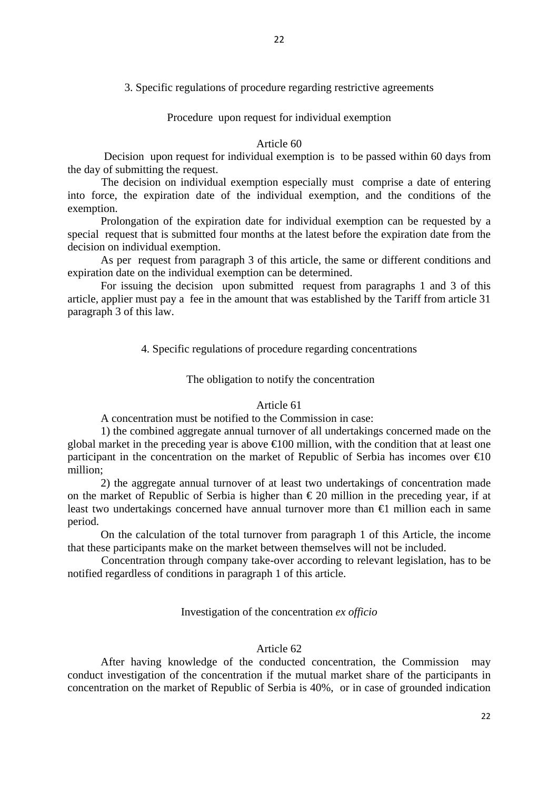Procedure upon request for individual exemption

# Article 60

 Decision upon request for individual exemption is to be passed within 60 days from the day of submitting the request.

 The decision on individual exemption especially must comprise a date of entering into force, the expiration date of the individual exemption, and the conditions of the exemption.

Prolongation of the expiration date for individual exemption can be requested by a special request that is submitted four months at the latest before the expiration date from the decision on individual exemption.

As per request from paragraph 3 of this article, the same or different conditions and expiration date on the individual exemption can be determined.

For issuing the decision upon submitted request from paragraphs 1 and 3 of this article, applier must pay a fee in the amount that was established by the Tariff from article 31 paragraph 3 of this law.

4. Specific regulations of procedure regarding concentrations

# The obligation to notify the concentration

# Article 61

A concentration must be notified to the Commission in case:

1) the combined aggregate annual turnover of all undertakings concerned made on the global market in the preceding year is above  $\bigoplus$  00 million, with the condition that at least one participant in the concentration on the market of Republic of Serbia has incomes over  $\epsilon 0$ million;

2) the aggregate annual turnover of at least two undertakings of concentration made on the market of Republic of Serbia is higher than  $\epsilon$  20 million in the preceding year, if at least two undertakings concerned have annual turnover more than  $\epsilon$  million each in same period.

On the calculation of the total turnover from paragraph 1 of this Article, the income that these participants make on the market between themselves will not be included.

 Concentration through company take-over according to relevant legislation, has to be notified regardless of conditions in paragraph 1 of this article.

# Investigation of the concentration *ex officio*

# Article 62

After having knowledge of the conducted concentration, the Commission may conduct investigation of the concentration if the mutual market share of the participants in concentration on the market of Republic of Serbia is 40%, or in case of grounded indication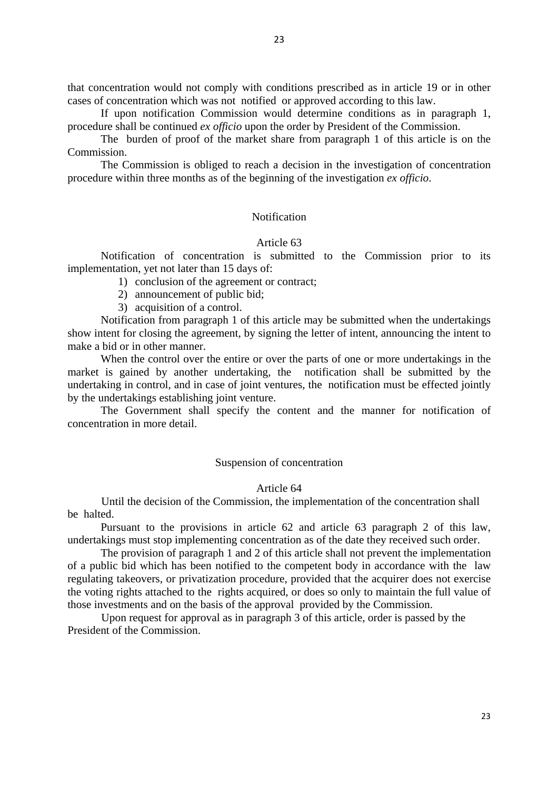that concentration would not comply with conditions prescribed as in article 19 or in other cases of concentration which was not notified or approved according to this law.

If upon notification Commission would determine conditions as in paragraph 1, procedure shall be continued *ex officio* upon the order by President of the Commission.

The burden of proof of the market share from paragraph 1 of this article is on the Commission.

The Commission is obliged to reach a decision in the investigation of concentration procedure within three months as of the beginning of the investigation *ex officio*.

# **Notification**

# Article 63

Notification of concentration is submitted to the Commission prior to its implementation, yet not later than 15 days of:

- 1) conclusion of the agreement or contract;
- 2) announcement of public bid;
- 3) acquisition of a control.

Notification from paragraph 1 of this article may be submitted when the undertakings show intent for closing the agreement, by signing the letter of intent, announcing the intent to make a bid or in other manner.

When the control over the entire or over the parts of one or more undertakings in the market is gained by another undertaking, the notification shall be submitted by the undertaking in control, and in case of joint ventures, the notification must be effected jointly by the undertakings establishing joint venture.

The Government shall specify the content and the manner for notification of concentration in more detail.

# Suspension of concentration

# Article 64

Until the decision of the Commission, the implementation of the concentration shall be halted.

Pursuant to the provisions in article 62 and article 63 paragraph 2 of this law, undertakings must stop implementing concentration as of the date they received such order.

The provision of paragraph 1 and 2 of this article shall not prevent the implementation of a public bid which has been notified to the competent body in accordance with the law regulating takeovers, or privatization procedure, provided that the acquirer does not exercise the voting rights attached to the rights acquired, or does so only to maintain the full value of those investments and on the basis of the approval provided by the Commission.

 Upon request for approval as in paragraph 3 of this article, order is passed by the President of the Commission.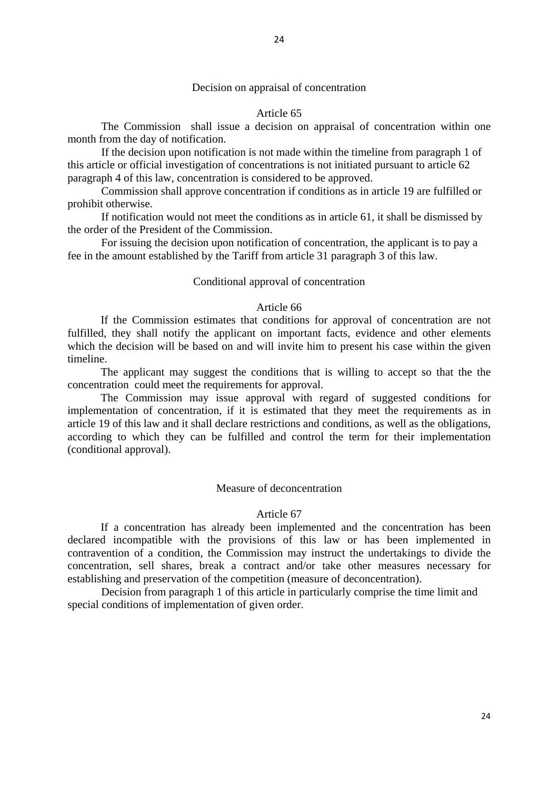# Decision on appraisal of concentration

#### Article 65

 The Commission shall issue a decision on appraisal of concentration within one month from the day of notification.

If the decision upon notification is not made within the timeline from paragraph 1 of this article or official investigation of concentrations is not initiated pursuant to article 62 paragraph 4 of this law, concentration is considered to be approved.

Commission shall approve concentration if conditions as in article 19 are fulfilled or prohibit otherwise.

If notification would not meet the conditions as in article 61, it shall be dismissed by the order of the President of the Commission.

For issuing the decision upon notification of concentration, the applicant is to pay a fee in the amount established by the Tariff from article 31 paragraph 3 of this law.

## Conditional approval of concentration

### Article 66

If the Commission estimates that conditions for approval of concentration are not fulfilled, they shall notify the applicant on important facts, evidence and other elements which the decision will be based on and will invite him to present his case within the given timeline.

The applicant may suggest the conditions that is willing to accept so that the the concentration could meet the requirements for approval.

The Commission may issue approval with regard of suggested conditions for implementation of concentration, if it is estimated that they meet the requirements as in article 19 of this law and it shall declare restrictions and conditions, as well as the obligations, according to which they can be fulfilled and control the term for their implementation (conditional approval).

# Measure of deconcentration

#### Article 67

If a concentration has already been implemented and the concentration has been declared incompatible with the provisions of this law or has been implemented in contravention of a condition, the Commission may instruct the undertakings to divide the concentration, sell shares, break a contract and/or take other measures necessary for establishing and preservation of the competition (measure of deconcentration).

Decision from paragraph 1 of this article in particularly comprise the time limit and special conditions of implementation of given order.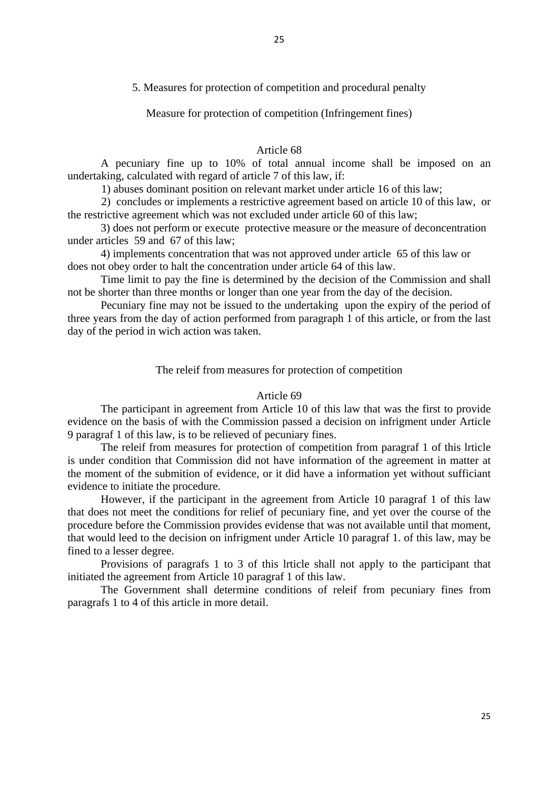Measure for protection of competition (Infringement fines)

# Article 68

A pecuniary fine up to 10% of total annual income shall be imposed on an undertaking, calculated with regard of article 7 of this law, if:

1) abuses dominant position on relevant market under article 16 of this law;

2) concludes or implements a restrictive agreement based on article 10 of this law, or the restrictive agreement which was not excluded under article 60 of this law;

3) does not perform or execute protective measure or the measure of deconcentration under articles 59 and 67 of this law;

4) implements concentration that was not approved under article 65 of this law or does not obey order to halt the concentration under article 64 of this law.

Time limit to pay the fine is determined by the decision of the Commission and shall not be shorter than three months or longer than one year from the day of the decision.

Pecuniary fine may not be issued to the undertaking upon the expiry of the period of three years from the day of action performed from paragraph 1 of this article, or from the last day of the period in wich action was taken.

# The releif from measures for protection of competition

# Article 69

The participant in agreement from Article 10 of this law that was the first to provide evidence on the basis of with the Commission passed a decision on infrigment under Article 9 paragraf 1 of this law, is to be relieved of pecuniary fines.

The releif from measures for protection of competition from paragraf 1 of this lrticle is under condition that Commission did not have information of the agreement in matter at the moment of the submition of evidence, or it did have a information yet without sufficiant evidence to initiate the procedure.

However, if the participant in the agreement from Article 10 paragraf 1 of this law that does not meet the conditions for relief of pecuniary fine, and yet over the course of the procedure before the Commission provides evidense that was not available until that moment, that would leed to the decision on infrigment under Article 10 paragraf 1. of this law, may be fined to a lesser degree.

Provisions of paragrafs 1 to 3 of this lrticle shall not apply to the participant that initiated the agreement from Article 10 paragraf 1 of this law.

The Government shall determine conditions of releif from pecuniary fines from paragrafs 1 to 4 of this article in more detail.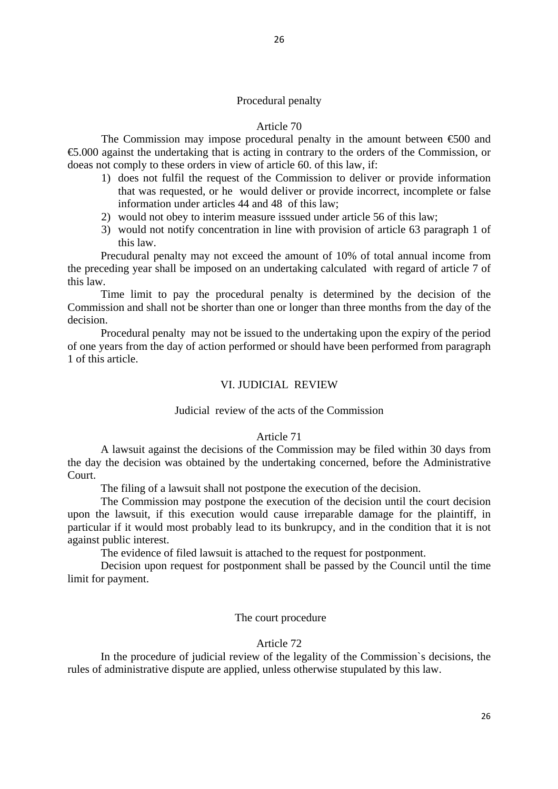# Procedural penalty

## Article 70

The Commission may impose procedural penalty in the amount between  $\epsilon$ 500 and €5.000 against the undertaking that is acting in contrary to the orders of the Commission, or doeas not comply to these orders in view of article 60. of this law, if:

- 1) does not fulfil the request of the Commission to deliver or provide information that was requested, or he would deliver or provide incorrect, incomplete or false information under articles 44 and 48 of this law;
- 2) would not obey to interim measure isssued under article 56 of this law;
- 3) would not notify concentration in line with provision of article 63 paragraph 1 of this law.

Precudural penalty may not exceed the amount of 10% of total annual income from the preceding year shall be imposed on an undertaking calculated with regard of article 7 of this law.

Time limit to pay the procedural penalty is determined by the decision of the Commission and shall not be shorter than one or longer than three months from the day of the decision.

Procedural penalty may not be issued to the undertaking upon the expiry of the period of one years from the day of action performed or should have been performed from paragraph 1 of this article.

# VI. JUDICIAL REVIEW

# Judicial review of the acts of the Commission

### Article 71

A lawsuit against the decisions of the Commission may be filed within 30 days from the day the decision was obtained by the undertaking concerned, before the Administrative Court.

The filing of a lawsuit shall not postpone the execution of the decision.

The Commission may postpone the execution of the decision until the court decision upon the lawsuit, if this execution would cause irreparable damage for the plaintiff, in particular if it would most probably lead to its bunkrupcy, and in the condition that it is not against public interest.

The evidence of filed lawsuit is attached to the request for postponment.

Decision upon request for postponment shall be passed by the Council until the time limit for payment.

#### The court procedure

# Article 72

In the procedure of judicial review of the legality of the Commission`s decisions, the rules of administrative dispute are applied, unless otherwise stupulated by this law.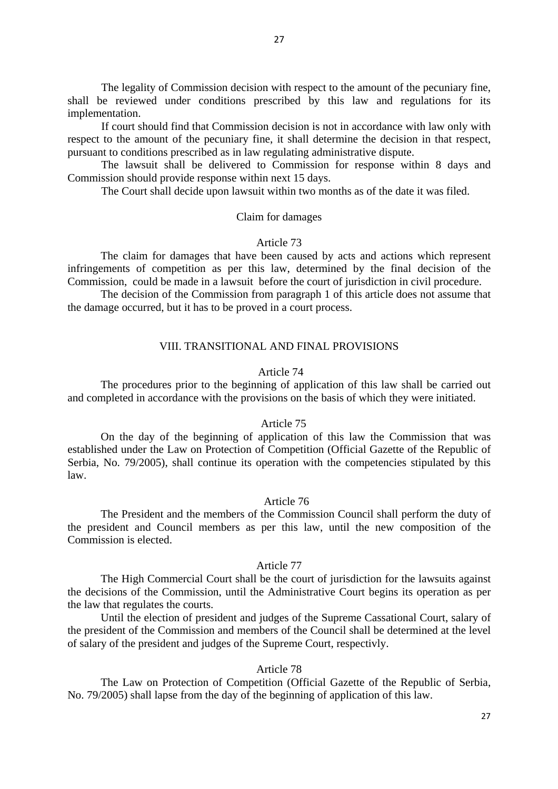The legality of Commission decision with respect to the amount of the pecuniary fine, shall be reviewed under conditions prescribed by this law and regulations for its implementation.

 If court should find that Commission decision is not in accordance with law only with respect to the amount of the pecuniary fine, it shall determine the decision in that respect, pursuant to conditions prescribed as in law regulating administrative dispute.

 The lawsuit shall be delivered to Commission for response within 8 days and Commission should provide response within next 15 days.

The Court shall decide upon lawsuit within two months as of the date it was filed.

# Claim for damages

# Article 73

The claim for damages that have been caused by acts and actions which represent infringements of competition as per this law, determined by the final decision of the Commission, could be made in a lawsuit before the court of jurisdiction in civil procedure.

The decision of the Commission from paragraph 1 of this article does not assume that the damage occurred, but it has to be proved in a court process.

# VIII. TRANSITIONAL AND FINAL PROVISIONS

# Article 74

The procedures prior to the beginning of application of this law shall be carried out and completed in accordance with the provisions on the basis of which they were initiated.

### Article 75

On the day of the beginning of application of this law the Commission that was established under the Law on Protection of Competition (Official Gazette of the Republic of Serbia, No. 79/2005), shall continue its operation with the competencies stipulated by this law.

#### Article 76

The President and the members of the Commission Council shall perform the duty of the president and Council members as per this law, until the new composition of the Commission is elected.

#### Article 77

The High Commercial Court shall be the court of jurisdiction for the lawsuits against the decisions of the Commission, until the Administrative Court begins its operation as per the law that regulates the courts.

Until the election of president and judges of the Supreme Cassational Court, salary of the president of the Commission and members of the Council shall be determined at the level of salary of the president and judges of the Supreme Court, respectivly.

# Article 78

The Law on Protection of Competition (Official Gazette of the Republic of Serbia, No. 79/2005) shall lapse from the day of the beginning of application of this law.